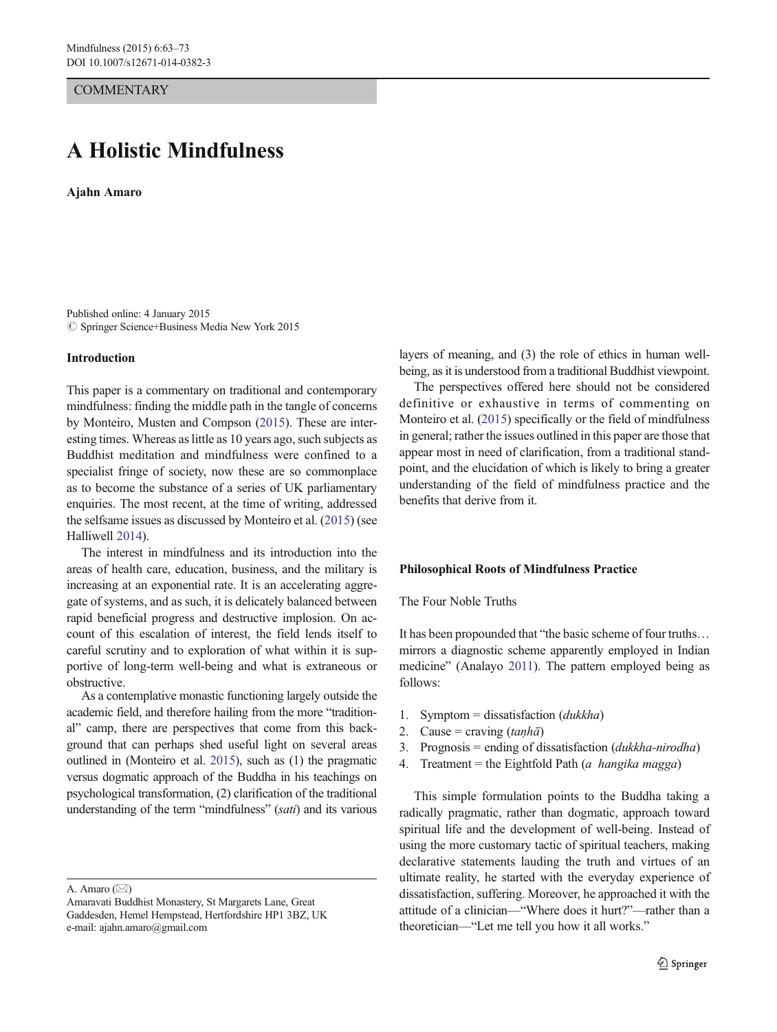**COMMENTARY** 

# A Holistic Mindfulness

Ajahn Amaro

Published online: 4 January 2015  $\circledcirc$  Springer Science+Business Media New York 2015

## Introduction

This paper is a commentary on traditional and contemporary mindfulness: finding the middle path in the tangle of concerns by Monteiro, Musten and Compson [\(2015\)](#page-10-0). These are interesting times. Whereas as little as 10 years ago, such subjects as Buddhist meditation and mindfulness were confined to a specialist fringe of society, now these are so commonplace as to become the substance of a series of UK parliamentary enquiries. The most recent, at the time of writing, addressed the selfsame issues as discussed by Monteiro et al. ([2015](#page-10-0)) (see Halliwell [2014\)](#page-10-0).

The interest in mindfulness and its introduction into the areas of health care, education, business, and the military is increasing at an exponential rate. It is an accelerating aggregate of systems, and as such, it is delicately balanced between rapid beneficial progress and destructive implosion. On account of this escalation of interest, the field lends itself to careful scrutiny and to exploration of what within it is supportive of long-term well-being and what is extraneous or obstructive.

As a contemplative monastic functioning largely outside the academic field, and therefore hailing from the more "traditional" camp, there are perspectives that come from this background that can perhaps shed useful light on several areas outlined in (Monteiro et al. [2015](#page-10-0)), such as (1) the pragmatic versus dogmatic approach of the Buddha in his teachings on psychological transformation, (2) clarification of the traditional understanding of the term "mindfulness" (sati) and its various

A. Amaro  $(\boxtimes)$ 

layers of meaning, and (3) the role of ethics in human wellbeing, as it is understood from a traditional Buddhist viewpoint.

The perspectives offered here should not be considered definitive or exhaustive in terms of commenting on Monteiro et al. [\(2015\)](#page-10-0) specifically or the field of mindfulness in general; rather the issues outlined in this paper are those that appear most in need of clarification, from a traditional standpoint, and the elucidation of which is likely to bring a greater understanding of the field of mindfulness practice and the benefits that derive from it.

## Philosophical Roots of Mindfulness Practice

The Four Noble Truths

It has been propounded that "the basic scheme of four truths… mirrors a diagnostic scheme apparently employed in Indian medicine" (Analayo [2011](#page-9-0)). The pattern employed being as follows:

- 1. Symptom = dissatisfaction  $(dukkha)$
- 2. Cause = craving  $(tanh\bar{a})$
- 3. Prognosis = ending of dissatisfaction  $(dukkha-nirodha)$
- 4. Treatment = the Eightfold Path (a hangika magga)

This simple formulation points to the Buddha taking a radically pragmatic, rather than dogmatic, approach toward spiritual life and the development of well-being. Instead of using the more customary tactic of spiritual teachers, making declarative statements lauding the truth and virtues of an ultimate reality, he started with the everyday experience of dissatisfaction, suffering. Moreover, he approached it with the attitude of a clinician—"Where does it hurt?"—rather than a theoretician—"Let me tell you how it all works."

Amaravati Buddhist Monastery, St Margarets Lane, Great Gaddesden, Hemel Hempstead, Hertfordshire HP1 3BZ, UK e-mail: ajahn.amaro@gmail.com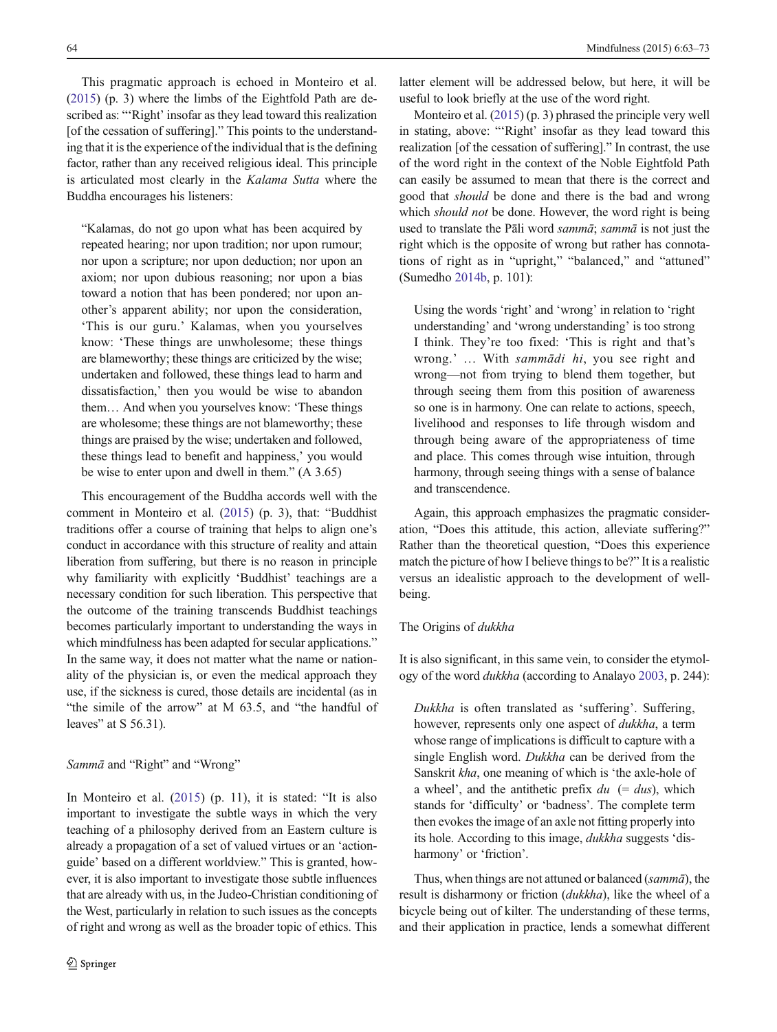This pragmatic approach is echoed in Monteiro et al. [\(2015\)](#page-10-0) (p. 3) where the limbs of the Eightfold Path are described as: "'Right' insofar as they lead toward this realization [of the cessation of suffering]." This points to the understanding that it is the experience of the individual that is the defining factor, rather than any received religious ideal. This principle is articulated most clearly in the Kalama Sutta where the Buddha encourages his listeners:

"Kalamas, do not go upon what has been acquired by repeated hearing; nor upon tradition; nor upon rumour; nor upon a scripture; nor upon deduction; nor upon an axiom; nor upon dubious reasoning; nor upon a bias toward a notion that has been pondered; nor upon another's apparent ability; nor upon the consideration, 'This is our guru.' Kalamas, when you yourselves know: 'These things are unwholesome; these things are blameworthy; these things are criticized by the wise; undertaken and followed, these things lead to harm and dissatisfaction,' then you would be wise to abandon them… And when you yourselves know: 'These things are wholesome; these things are not blameworthy; these things are praised by the wise; undertaken and followed, these things lead to benefit and happiness,' you would be wise to enter upon and dwell in them." (A 3.65)

This encouragement of the Buddha accords well with the comment in Monteiro et al. ([2015](#page-10-0)) (p. 3), that: "Buddhist traditions offer a course of training that helps to align one's conduct in accordance with this structure of reality and attain liberation from suffering, but there is no reason in principle why familiarity with explicitly 'Buddhist' teachings are a necessary condition for such liberation. This perspective that the outcome of the training transcends Buddhist teachings becomes particularly important to understanding the ways in which mindfulness has been adapted for secular applications." In the same way, it does not matter what the name or nationality of the physician is, or even the medical approach they use, if the sickness is cured, those details are incidental (as in "the simile of the arrow" at M 63.5, and "the handful of leaves" at S 56.31).

## Sammā and "Right" and "Wrong"

In Monteiro et al. ([2015\)](#page-10-0) (p. 11), it is stated: "It is also important to investigate the subtle ways in which the very teaching of a philosophy derived from an Eastern culture is already a propagation of a set of valued virtues or an 'actionguide' based on a different worldview." This is granted, however, it is also important to investigate those subtle influences that are already with us, in the Judeo-Christian conditioning of the West, particularly in relation to such issues as the concepts of right and wrong as well as the broader topic of ethics. This

latter element will be addressed below, but here, it will be useful to look briefly at the use of the word right.

Monteiro et al. [\(2015](#page-10-0)) (p. 3) phrased the principle very well in stating, above: "'Right' insofar as they lead toward this realization [of the cessation of suffering]." In contrast, the use of the word right in the context of the Noble Eightfold Path can easily be assumed to mean that there is the correct and good that should be done and there is the bad and wrong which *should not* be done. However, the word right is being used to translate the Pāli word sammā; sammā is not just the right which is the opposite of wrong but rather has connotations of right as in "upright," "balanced," and "attuned" (Sumedho [2014b](#page-10-0), p. 101):

Using the words 'right' and 'wrong' in relation to 'right understanding' and 'wrong understanding' is too strong I think. They're too fixed: 'This is right and that's wrong.' … With sammādi hi, you see right and wrong—not from trying to blend them together, but through seeing them from this position of awareness so one is in harmony. One can relate to actions, speech, livelihood and responses to life through wisdom and through being aware of the appropriateness of time and place. This comes through wise intuition, through harmony, through seeing things with a sense of balance and transcendence.

Again, this approach emphasizes the pragmatic consideration, "Does this attitude, this action, alleviate suffering?" Rather than the theoretical question, "Does this experience match the picture of how I believe things to be?" It is a realistic versus an idealistic approach to the development of wellbeing.

# The Origins of dukkha

It is also significant, in this same vein, to consider the etymology of the word dukkha (according to Analayo [2003](#page-9-0), p. 244):

Dukkha is often translated as 'suffering'. Suffering, however, represents only one aspect of *dukkha*, a term whose range of implications is difficult to capture with a single English word. Dukkha can be derived from the Sanskrit kha, one meaning of which is 'the axle-hole of a wheel', and the antithetic prefix  $du$  (= dus), which stands for 'difficulty' or 'badness'. The complete term then evokes the image of an axle not fitting properly into its hole. According to this image, dukkha suggests 'disharmony' or 'friction'.

Thus, when things are not attuned or balanced (sammā), the result is disharmony or friction (dukkha), like the wheel of a bicycle being out of kilter. The understanding of these terms, and their application in practice, lends a somewhat different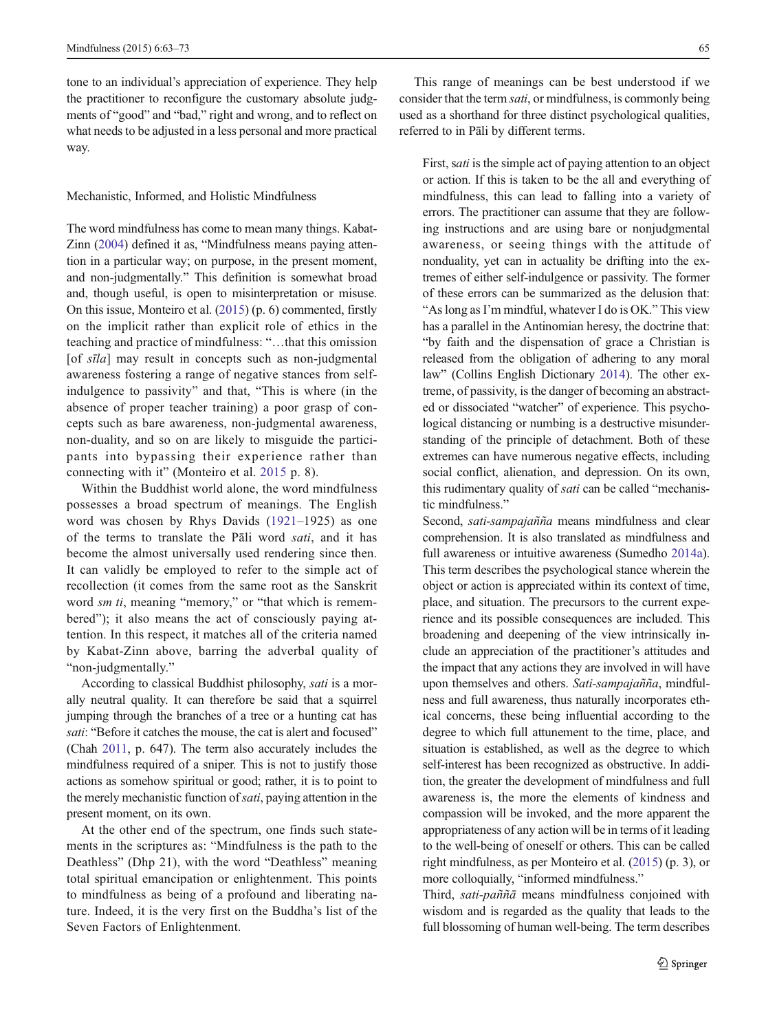tone to an individual's appreciation of experience. They help the practitioner to reconfigure the customary absolute judgments of "good" and "bad," right and wrong, and to reflect on what needs to be adjusted in a less personal and more practical way.

#### Mechanistic, Informed, and Holistic Mindfulness

The word mindfulness has come to mean many things. Kabat-Zinn [\(2004](#page-10-0)) defined it as, "Mindfulness means paying attention in a particular way; on purpose, in the present moment, and non-judgmentally." This definition is somewhat broad and, though useful, is open to misinterpretation or misuse. On this issue, Monteiro et al. [\(2015\)](#page-10-0) (p. 6) commented, firstly on the implicit rather than explicit role of ethics in the teaching and practice of mindfulness: "…that this omission [of sīla] may result in concepts such as non-judgmental awareness fostering a range of negative stances from selfindulgence to passivity" and that, "This is where (in the absence of proper teacher training) a poor grasp of concepts such as bare awareness, non-judgmental awareness, non-duality, and so on are likely to misguide the participants into bypassing their experience rather than connecting with it" (Monteiro et al. [2015](#page-10-0) p. 8).

Within the Buddhist world alone, the word mindfulness possesses a broad spectrum of meanings. The English word was chosen by Rhys Davids [\(1921](#page-10-0)–1925) as one of the terms to translate the Pāli word sati, and it has become the almost universally used rendering since then. It can validly be employed to refer to the simple act of recollection (it comes from the same root as the Sanskrit word *sm ti*, meaning "memory," or "that which is remembered"); it also means the act of consciously paying attention. In this respect, it matches all of the criteria named by Kabat-Zinn above, barring the adverbal quality of "non-judgmentally."

According to classical Buddhist philosophy, sati is a morally neutral quality. It can therefore be said that a squirrel jumping through the branches of a tree or a hunting cat has sati: "Before it catches the mouse, the cat is alert and focused" (Chah [2011,](#page-9-0) p. 647). The term also accurately includes the mindfulness required of a sniper. This is not to justify those actions as somehow spiritual or good; rather, it is to point to the merely mechanistic function of *sati*, paying attention in the present moment, on its own.

At the other end of the spectrum, one finds such statements in the scriptures as: "Mindfulness is the path to the Deathless" (Dhp 21), with the word "Deathless" meaning total spiritual emancipation or enlightenment. This points to mindfulness as being of a profound and liberating nature. Indeed, it is the very first on the Buddha's list of the Seven Factors of Enlightenment.

This range of meanings can be best understood if we consider that the term sati, or mindfulness, is commonly being used as a shorthand for three distinct psychological qualities, referred to in Pāli by different terms.

First, *sati* is the simple act of paying attention to an object or action. If this is taken to be the all and everything of mindfulness, this can lead to falling into a variety of errors. The practitioner can assume that they are following instructions and are using bare or nonjudgmental awareness, or seeing things with the attitude of nonduality, yet can in actuality be drifting into the extremes of either self-indulgence or passivity. The former of these errors can be summarized as the delusion that: "As long as I'm mindful, whatever I do is OK." This view has a parallel in the Antinomian heresy, the doctrine that: "by faith and the dispensation of grace a Christian is released from the obligation of adhering to any moral law" (Collins English Dictionary [2014\)](#page-9-0). The other extreme, of passivity, is the danger of becoming an abstracted or dissociated "watcher" of experience. This psychological distancing or numbing is a destructive misunderstanding of the principle of detachment. Both of these extremes can have numerous negative effects, including social conflict, alienation, and depression. On its own, this rudimentary quality of sati can be called "mechanistic mindfulness."

Second, sati-sampajañña means mindfulness and clear comprehension. It is also translated as mindfulness and full awareness or intuitive awareness (Sumedho [2014a\)](#page-10-0). This term describes the psychological stance wherein the object or action is appreciated within its context of time, place, and situation. The precursors to the current experience and its possible consequences are included. This broadening and deepening of the view intrinsically include an appreciation of the practitioner's attitudes and the impact that any actions they are involved in will have upon themselves and others. Sati-sampajañña, mindfulness and full awareness, thus naturally incorporates ethical concerns, these being influential according to the degree to which full attunement to the time, place, and situation is established, as well as the degree to which self-interest has been recognized as obstructive. In addition, the greater the development of mindfulness and full awareness is, the more the elements of kindness and compassion will be invoked, and the more apparent the appropriateness of any action will be in terms of it leading to the well-being of oneself or others. This can be called right mindfulness, as per Monteiro et al. [\(2015\)](#page-10-0) (p. 3), or more colloquially, "informed mindfulness."

Third, sati-paññā means mindfulness conjoined with wisdom and is regarded as the quality that leads to the full blossoming of human well-being. The term describes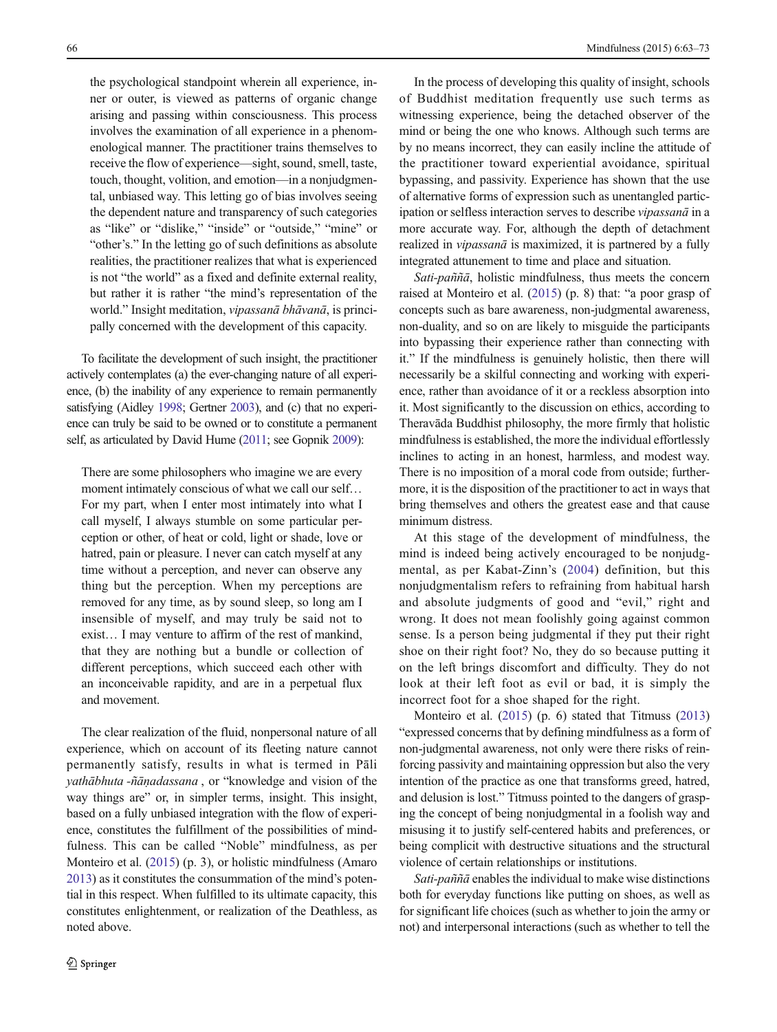the psychological standpoint wherein all experience, inner or outer, is viewed as patterns of organic change arising and passing within consciousness. This process involves the examination of all experience in a phenomenological manner. The practitioner trains themselves to receive the flow of experience—sight, sound, smell, taste, touch, thought, volition, and emotion—in a nonjudgmental, unbiased way. This letting go of bias involves seeing the dependent nature and transparency of such categories as "like" or "dislike," "inside" or "outside," "mine" or "other's." In the letting go of such definitions as absolute realities, the practitioner realizes that what is experienced is not "the world" as a fixed and definite external reality, but rather it is rather "the mind's representation of the world." Insight meditation, vipassanā bhāvanā, is principally concerned with the development of this capacity.

To facilitate the development of such insight, the practitioner actively contemplates (a) the ever-changing nature of all experience, (b) the inability of any experience to remain permanently satisfying (Aidley [1998;](#page-9-0) Gertner [2003](#page-9-0)), and (c) that no experience can truly be said to be owned or to constitute a permanent self, as articulated by David Hume [\(2011;](#page-10-0) see Gopnik [2009\)](#page-10-0):

There are some philosophers who imagine we are every moment intimately conscious of what we call our self... For my part, when I enter most intimately into what I call myself, I always stumble on some particular perception or other, of heat or cold, light or shade, love or hatred, pain or pleasure. I never can catch myself at any time without a perception, and never can observe any thing but the perception. When my perceptions are removed for any time, as by sound sleep, so long am I insensible of myself, and may truly be said not to exist… I may venture to affirm of the rest of mankind, that they are nothing but a bundle or collection of different perceptions, which succeed each other with an inconceivable rapidity, and are in a perpetual flux and movement.

The clear realization of the fluid, nonpersonal nature of all experience, which on account of its fleeting nature cannot permanently satisfy, results in what is termed in Pāli yathābhuta -ñāṇadassana , or "knowledge and vision of the way things are" or, in simpler terms, insight. This insight, based on a fully unbiased integration with the flow of experience, constitutes the fulfillment of the possibilities of mindfulness. This can be called "Noble" mindfulness, as per Monteiro et al. ([2015](#page-10-0)) (p. 3), or holistic mindfulness (Amaro [2013\)](#page-9-0) as it constitutes the consummation of the mind's potential in this respect. When fulfilled to its ultimate capacity, this constitutes enlightenment, or realization of the Deathless, as noted above.

In the process of developing this quality of insight, schools of Buddhist meditation frequently use such terms as witnessing experience, being the detached observer of the mind or being the one who knows. Although such terms are by no means incorrect, they can easily incline the attitude of the practitioner toward experiential avoidance, spiritual bypassing, and passivity. Experience has shown that the use of alternative forms of expression such as unentangled participation or selfless interaction serves to describe vipassanā in a more accurate way. For, although the depth of detachment realized in *vipassanā* is maximized, it is partnered by a fully integrated attunement to time and place and situation.

Sati-paññā, holistic mindfulness, thus meets the concern raised at Monteiro et al. ([2015](#page-10-0)) (p. 8) that: "a poor grasp of concepts such as bare awareness, non-judgmental awareness, non-duality, and so on are likely to misguide the participants into bypassing their experience rather than connecting with it." If the mindfulness is genuinely holistic, then there will necessarily be a skilful connecting and working with experience, rather than avoidance of it or a reckless absorption into it. Most significantly to the discussion on ethics, according to Theravāda Buddhist philosophy, the more firmly that holistic mindfulness is established, the more the individual effortlessly inclines to acting in an honest, harmless, and modest way. There is no imposition of a moral code from outside; furthermore, it is the disposition of the practitioner to act in ways that bring themselves and others the greatest ease and that cause minimum distress.

At this stage of the development of mindfulness, the mind is indeed being actively encouraged to be nonjudgmental, as per Kabat-Zinn's ([2004\)](#page-10-0) definition, but this nonjudgmentalism refers to refraining from habitual harsh and absolute judgments of good and "evil," right and wrong. It does not mean foolishly going against common sense. Is a person being judgmental if they put their right shoe on their right foot? No, they do so because putting it on the left brings discomfort and difficulty. They do not look at their left foot as evil or bad, it is simply the incorrect foot for a shoe shaped for the right.

Monteiro et al. [\(2015\)](#page-10-0) (p. 6) stated that Titmuss [\(2013](#page-10-0)) "expressed concerns that by defining mindfulness as a form of non-judgmental awareness, not only were there risks of reinforcing passivity and maintaining oppression but also the very intention of the practice as one that transforms greed, hatred, and delusion is lost." Titmuss pointed to the dangers of grasping the concept of being nonjudgmental in a foolish way and misusing it to justify self-centered habits and preferences, or being complicit with destructive situations and the structural violence of certain relationships or institutions.

Sati-paññā enables the individual to make wise distinctions both for everyday functions like putting on shoes, as well as for significant life choices (such as whether to join the army or not) and interpersonal interactions (such as whether to tell the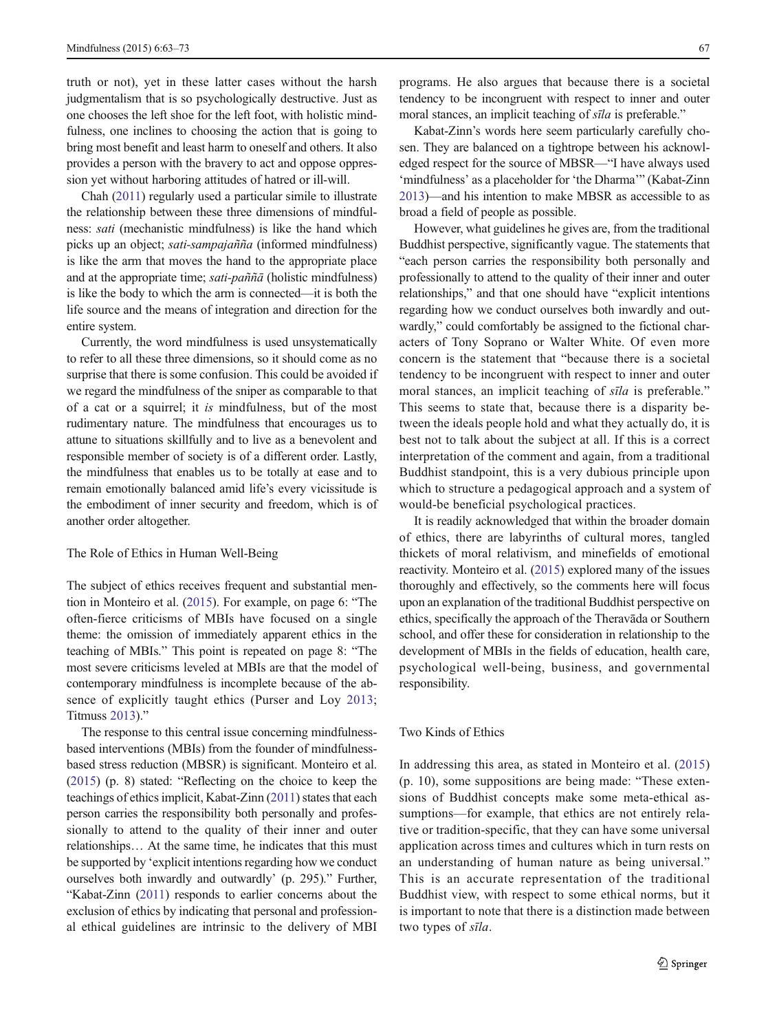truth or not), yet in these latter cases without the harsh judgmentalism that is so psychologically destructive. Just as one chooses the left shoe for the left foot, with holistic mindfulness, one inclines to choosing the action that is going to bring most benefit and least harm to oneself and others. It also provides a person with the bravery to act and oppose oppression yet without harboring attitudes of hatred or ill-will.

Chah [\(2011](#page-9-0)) regularly used a particular simile to illustrate the relationship between these three dimensions of mindfulness: sati (mechanistic mindfulness) is like the hand which picks up an object; sati-sampajañña (informed mindfulness) is like the arm that moves the hand to the appropriate place and at the appropriate time; sati-pañña (holistic mindfulness) is like the body to which the arm is connected—it is both the life source and the means of integration and direction for the entire system.

Currently, the word mindfulness is used unsystematically to refer to all these three dimensions, so it should come as no surprise that there is some confusion. This could be avoided if we regard the mindfulness of the sniper as comparable to that of a cat or a squirrel; it is mindfulness, but of the most rudimentary nature. The mindfulness that encourages us to attune to situations skillfully and to live as a benevolent and responsible member of society is of a different order. Lastly, the mindfulness that enables us to be totally at ease and to remain emotionally balanced amid life's every vicissitude is the embodiment of inner security and freedom, which is of another order altogether.

# The Role of Ethics in Human Well-Being

The subject of ethics receives frequent and substantial mention in Monteiro et al. [\(2015\)](#page-10-0). For example, on page 6: "The often-fierce criticisms of MBIs have focused on a single theme: the omission of immediately apparent ethics in the teaching of MBIs." This point is repeated on page 8: "The most severe criticisms leveled at MBIs are that the model of contemporary mindfulness is incomplete because of the absence of explicitly taught ethics (Purser and Loy [2013](#page-10-0); Titmuss [2013](#page-10-0))."

The response to this central issue concerning mindfulnessbased interventions (MBIs) from the founder of mindfulnessbased stress reduction (MBSR) is significant. Monteiro et al. [\(2015\)](#page-10-0) (p. 8) stated: "Reflecting on the choice to keep the teachings of ethics implicit, Kabat-Zinn [\(2011\)](#page-10-0) states that each person carries the responsibility both personally and professionally to attend to the quality of their inner and outer relationships… At the same time, he indicates that this must be supported by 'explicit intentions regarding how we conduct ourselves both inwardly and outwardly' (p. 295)." Further, "Kabat-Zinn [\(2011\)](#page-10-0) responds to earlier concerns about the exclusion of ethics by indicating that personal and professional ethical guidelines are intrinsic to the delivery of MBI programs. He also argues that because there is a societal tendency to be incongruent with respect to inner and outer moral stances, an implicit teaching of *sīla* is preferable."

Kabat-Zinn's words here seem particularly carefully chosen. They are balanced on a tightrope between his acknowledged respect for the source of MBSR—"I have always used 'mindfulness' as a placeholder for 'the Dharma'" (Kabat-Zinn [2013\)](#page-10-0)—and his intention to make MBSR as accessible to as broad a field of people as possible.

However, what guidelines he gives are, from the traditional Buddhist perspective, significantly vague. The statements that "each person carries the responsibility both personally and professionally to attend to the quality of their inner and outer relationships," and that one should have "explicit intentions regarding how we conduct ourselves both inwardly and outwardly," could comfortably be assigned to the fictional characters of Tony Soprano or Walter White. Of even more concern is the statement that "because there is a societal tendency to be incongruent with respect to inner and outer moral stances, an implicit teaching of sīla is preferable." This seems to state that, because there is a disparity between the ideals people hold and what they actually do, it is best not to talk about the subject at all. If this is a correct interpretation of the comment and again, from a traditional Buddhist standpoint, this is a very dubious principle upon which to structure a pedagogical approach and a system of would-be beneficial psychological practices.

It is readily acknowledged that within the broader domain of ethics, there are labyrinths of cultural mores, tangled thickets of moral relativism, and minefields of emotional reactivity. Monteiro et al. [\(2015\)](#page-10-0) explored many of the issues thoroughly and effectively, so the comments here will focus upon an explanation of the traditional Buddhist perspective on ethics, specifically the approach of the Theravāda or Southern school, and offer these for consideration in relationship to the development of MBIs in the fields of education, health care, psychological well-being, business, and governmental responsibility.

## Two Kinds of Ethics

In addressing this area, as stated in Monteiro et al. ([2015](#page-10-0)) (p. 10), some suppositions are being made: "These extensions of Buddhist concepts make some meta-ethical assumptions—for example, that ethics are not entirely relative or tradition-specific, that they can have some universal application across times and cultures which in turn rests on an understanding of human nature as being universal." This is an accurate representation of the traditional Buddhist view, with respect to some ethical norms, but it is important to note that there is a distinction made between two types of sīla.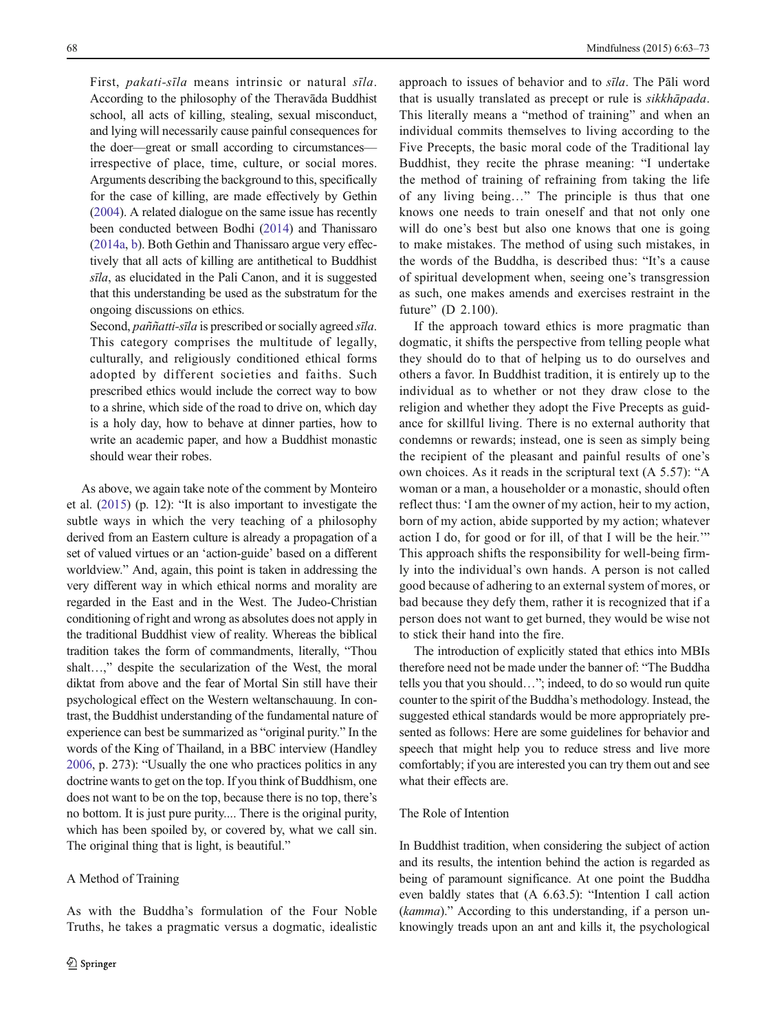First, pakati-sīla means intrinsic or natural sīla. According to the philosophy of the Theravāda Buddhist school, all acts of killing, stealing, sexual misconduct, and lying will necessarily cause painful consequences for the doer—great or small according to circumstances irrespective of place, time, culture, or social mores. Arguments describing the background to this, specifically for the case of killing, are made effectively by Gethin [\(2004\)](#page-9-0). A related dialogue on the same issue has recently been conducted between Bodhi [\(2014\)](#page-9-0) and Thanissaro [\(2014a,](#page-10-0) [b](#page-10-0)). Both Gethin and Thanissaro argue very effectively that all acts of killing are antithetical to Buddhist sīla, as elucidated in the Pali Canon, and it is suggested that this understanding be used as the substratum for the ongoing discussions on ethics.

Second, paññatti-sīla is prescribed or socially agreed sīla. This category comprises the multitude of legally, culturally, and religiously conditioned ethical forms adopted by different societies and faiths. Such prescribed ethics would include the correct way to bow to a shrine, which side of the road to drive on, which day is a holy day, how to behave at dinner parties, how to write an academic paper, and how a Buddhist monastic should wear their robes.

As above, we again take note of the comment by Monteiro et al. ([2015](#page-10-0)) (p. 12): "It is also important to investigate the subtle ways in which the very teaching of a philosophy derived from an Eastern culture is already a propagation of a set of valued virtues or an 'action-guide' based on a different worldview." And, again, this point is taken in addressing the very different way in which ethical norms and morality are regarded in the East and in the West. The Judeo-Christian conditioning of right and wrong as absolutes does not apply in the traditional Buddhist view of reality. Whereas the biblical tradition takes the form of commandments, literally, "Thou shalt…," despite the secularization of the West, the moral diktat from above and the fear of Mortal Sin still have their psychological effect on the Western weltanschauung. In contrast, the Buddhist understanding of the fundamental nature of experience can best be summarized as "original purity." In the words of the King of Thailand, in a BBC interview (Handley [2006,](#page-10-0) p. 273): "Usually the one who practices politics in any doctrine wants to get on the top. If you think of Buddhism, one does not want to be on the top, because there is no top, there's no bottom. It is just pure purity.... There is the original purity, which has been spoiled by, or covered by, what we call sin. The original thing that is light, is beautiful."

#### A Method of Training

As with the Buddha's formulation of the Four Noble Truths, he takes a pragmatic versus a dogmatic, idealistic approach to issues of behavior and to sīla. The Pāli word that is usually translated as precept or rule is sikkhāpada. This literally means a "method of training" and when an individual commits themselves to living according to the Five Precepts, the basic moral code of the Traditional lay Buddhist, they recite the phrase meaning: "I undertake the method of training of refraining from taking the life of any living being…" The principle is thus that one knows one needs to train oneself and that not only one will do one's best but also one knows that one is going to make mistakes. The method of using such mistakes, in the words of the Buddha, is described thus: "It's a cause of spiritual development when, seeing one's transgression as such, one makes amends and exercises restraint in the future" (D 2.100).

If the approach toward ethics is more pragmatic than dogmatic, it shifts the perspective from telling people what they should do to that of helping us to do ourselves and others a favor. In Buddhist tradition, it is entirely up to the individual as to whether or not they draw close to the religion and whether they adopt the Five Precepts as guidance for skillful living. There is no external authority that condemns or rewards; instead, one is seen as simply being the recipient of the pleasant and painful results of one's own choices. As it reads in the scriptural text (A 5.57): "A woman or a man, a householder or a monastic, should often reflect thus: 'I am the owner of my action, heir to my action, born of my action, abide supported by my action; whatever action I do, for good or for ill, of that I will be the heir.'" This approach shifts the responsibility for well-being firmly into the individual's own hands. A person is not called good because of adhering to an external system of mores, or bad because they defy them, rather it is recognized that if a person does not want to get burned, they would be wise not to stick their hand into the fire.

The introduction of explicitly stated that ethics into MBIs therefore need not be made under the banner of: "The Buddha tells you that you should…"; indeed, to do so would run quite counter to the spirit of the Buddha's methodology. Instead, the suggested ethical standards would be more appropriately presented as follows: Here are some guidelines for behavior and speech that might help you to reduce stress and live more comfortably; if you are interested you can try them out and see what their effects are.

## The Role of Intention

In Buddhist tradition, when considering the subject of action and its results, the intention behind the action is regarded as being of paramount significance. At one point the Buddha even baldly states that (A 6.63.5): "Intention I call action (kamma)." According to this understanding, if a person unknowingly treads upon an ant and kills it, the psychological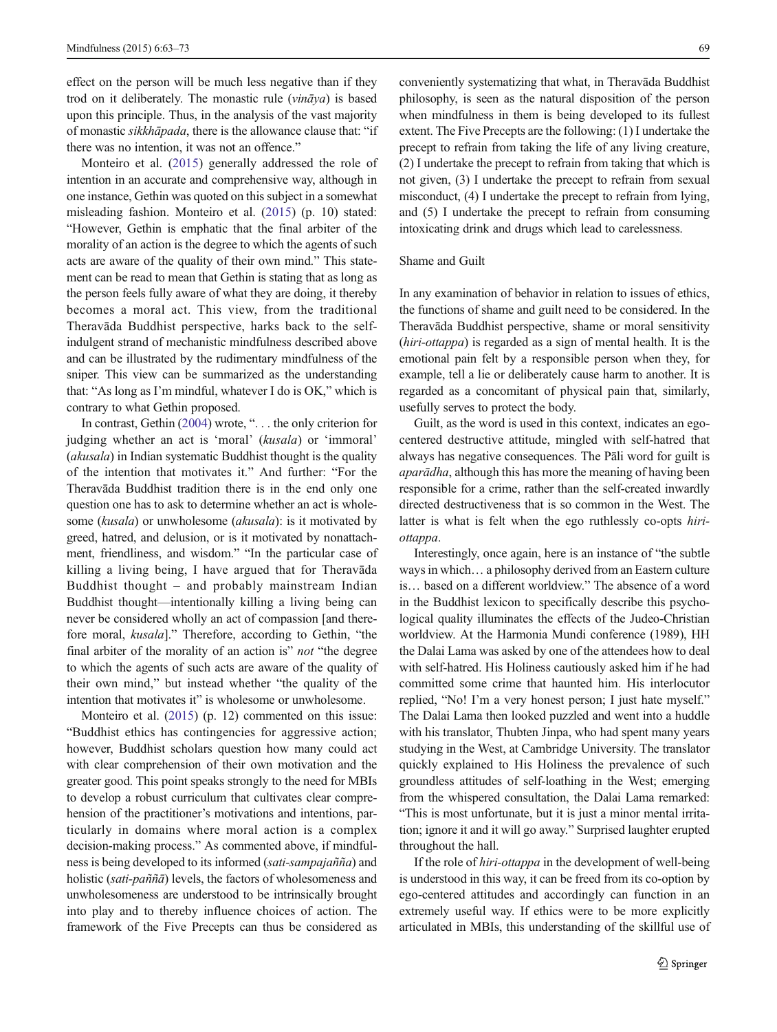effect on the person will be much less negative than if they trod on it deliberately. The monastic rule  $(vināya)$  is based upon this principle. Thus, in the analysis of the vast majority of monastic sikkhāpada, there is the allowance clause that: "if there was no intention, it was not an offence."

Monteiro et al. [\(2015](#page-10-0)) generally addressed the role of intention in an accurate and comprehensive way, although in one instance, Gethin was quoted on this subject in a somewhat misleading fashion. Monteiro et al. ([2015\)](#page-10-0) (p. 10) stated: "However, Gethin is emphatic that the final arbiter of the morality of an action is the degree to which the agents of such acts are aware of the quality of their own mind." This statement can be read to mean that Gethin is stating that as long as the person feels fully aware of what they are doing, it thereby becomes a moral act. This view, from the traditional Theravāda Buddhist perspective, harks back to the selfindulgent strand of mechanistic mindfulness described above and can be illustrated by the rudimentary mindfulness of the sniper. This view can be summarized as the understanding that: "As long as I'm mindful, whatever I do is OK," which is contrary to what Gethin proposed.

In contrast, Gethin ([2004](#page-9-0)) wrote, ". . . the only criterion for judging whether an act is 'moral' (kusala) or 'immoral' (akusala) in Indian systematic Buddhist thought is the quality of the intention that motivates it." And further: "For the Theravāda Buddhist tradition there is in the end only one question one has to ask to determine whether an act is wholesome (kusala) or unwholesome (akusala): is it motivated by greed, hatred, and delusion, or is it motivated by nonattachment, friendliness, and wisdom." "In the particular case of killing a living being, I have argued that for Theravāda Buddhist thought – and probably mainstream Indian Buddhist thought—intentionally killing a living being can never be considered wholly an act of compassion [and therefore moral, kusala]." Therefore, according to Gethin, "the final arbiter of the morality of an action is" not "the degree to which the agents of such acts are aware of the quality of their own mind," but instead whether "the quality of the intention that motivates it" is wholesome or unwholesome.

Monteiro et al. [\(2015\)](#page-10-0) (p. 12) commented on this issue: "Buddhist ethics has contingencies for aggressive action; however, Buddhist scholars question how many could act with clear comprehension of their own motivation and the greater good. This point speaks strongly to the need for MBIs to develop a robust curriculum that cultivates clear comprehension of the practitioner's motivations and intentions, particularly in domains where moral action is a complex decision-making process." As commented above, if mindfulness is being developed to its informed (sati-sampajañña) and holistic (sati-paññā) levels, the factors of wholesomeness and unwholesomeness are understood to be intrinsically brought into play and to thereby influence choices of action. The framework of the Five Precepts can thus be considered as conveniently systematizing that what, in Theravāda Buddhist philosophy, is seen as the natural disposition of the person when mindfulness in them is being developed to its fullest extent. The Five Precepts are the following: (1) I undertake the precept to refrain from taking the life of any living creature, (2) I undertake the precept to refrain from taking that which is not given, (3) I undertake the precept to refrain from sexual misconduct, (4) I undertake the precept to refrain from lying, and (5) I undertake the precept to refrain from consuming intoxicating drink and drugs which lead to carelessness.

## Shame and Guilt

In any examination of behavior in relation to issues of ethics, the functions of shame and guilt need to be considered. In the Theravāda Buddhist perspective, shame or moral sensitivity (hiri-ottappa) is regarded as a sign of mental health. It is the emotional pain felt by a responsible person when they, for example, tell a lie or deliberately cause harm to another. It is regarded as a concomitant of physical pain that, similarly, usefully serves to protect the body.

Guilt, as the word is used in this context, indicates an egocentered destructive attitude, mingled with self-hatred that always has negative consequences. The Pāli word for guilt is aparādha, although this has more the meaning of having been responsible for a crime, rather than the self-created inwardly directed destructiveness that is so common in the West. The latter is what is felt when the ego ruthlessly co-opts hiriottappa.

Interestingly, once again, here is an instance of "the subtle ways in which… a philosophy derived from an Eastern culture is… based on a different worldview." The absence of a word in the Buddhist lexicon to specifically describe this psychological quality illuminates the effects of the Judeo-Christian worldview. At the Harmonia Mundi conference (1989), HH the Dalai Lama was asked by one of the attendees how to deal with self-hatred. His Holiness cautiously asked him if he had committed some crime that haunted him. His interlocutor replied, "No! I'm a very honest person; I just hate myself." The Dalai Lama then looked puzzled and went into a huddle with his translator, Thubten Jinpa, who had spent many years studying in the West, at Cambridge University. The translator quickly explained to His Holiness the prevalence of such groundless attitudes of self-loathing in the West; emerging from the whispered consultation, the Dalai Lama remarked: "This is most unfortunate, but it is just a minor mental irritation; ignore it and it will go away." Surprised laughter erupted throughout the hall.

If the role of *hiri-ottappa* in the development of well-being is understood in this way, it can be freed from its co-option by ego-centered attitudes and accordingly can function in an extremely useful way. If ethics were to be more explicitly articulated in MBIs, this understanding of the skillful use of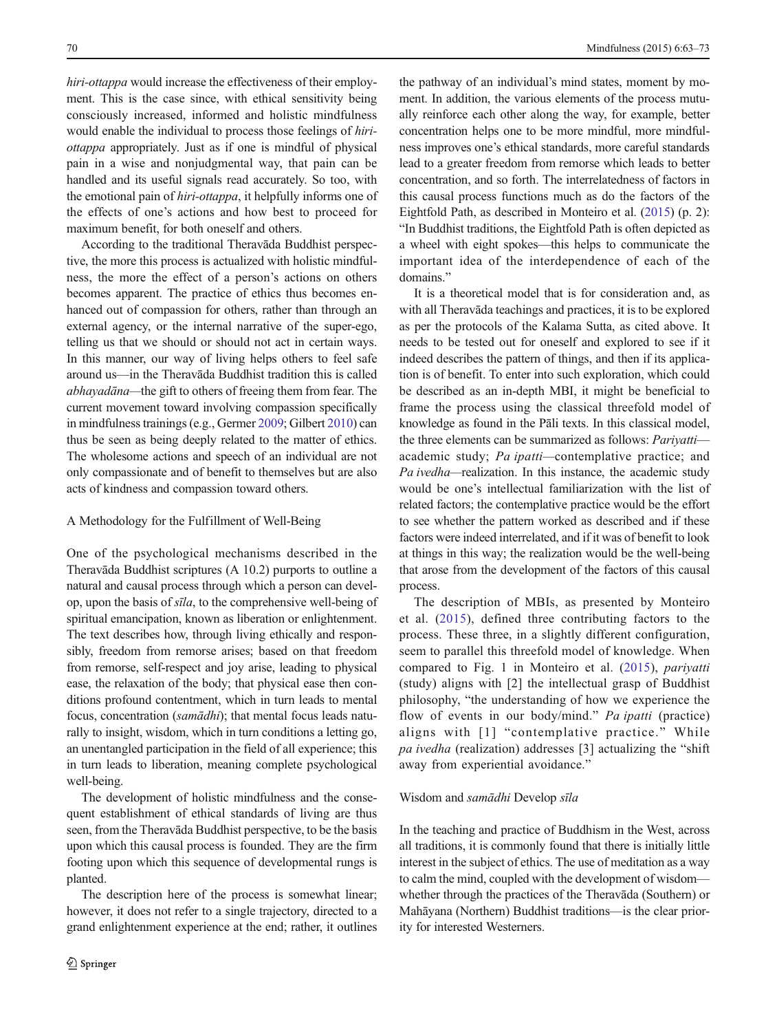hiri-ottappa would increase the effectiveness of their employment. This is the case since, with ethical sensitivity being consciously increased, informed and holistic mindfulness would enable the individual to process those feelings of hiriottappa appropriately. Just as if one is mindful of physical pain in a wise and nonjudgmental way, that pain can be handled and its useful signals read accurately. So too, with the emotional pain of *hiri-ottappa*, it helpfully informs one of the effects of one's actions and how best to proceed for maximum benefit, for both oneself and others.

According to the traditional Theravāda Buddhist perspective, the more this process is actualized with holistic mindfulness, the more the effect of a person's actions on others becomes apparent. The practice of ethics thus becomes enhanced out of compassion for others, rather than through an external agency, or the internal narrative of the super-ego, telling us that we should or should not act in certain ways. In this manner, our way of living helps others to feel safe around us—in the Theravāda Buddhist tradition this is called abhayadāna—the gift to others of freeing them from fear. The current movement toward involving compassion specifically in mindfulness trainings (e.g., Germer [2009](#page-9-0); Gilbert [2010\)](#page-10-0) can thus be seen as being deeply related to the matter of ethics. The wholesome actions and speech of an individual are not only compassionate and of benefit to themselves but are also acts of kindness and compassion toward others.

#### A Methodology for the Fulfillment of Well-Being

One of the psychological mechanisms described in the Theravāda Buddhist scriptures (A 10.2) purports to outline a natural and causal process through which a person can develop, upon the basis of sīla, to the comprehensive well-being of spiritual emancipation, known as liberation or enlightenment. The text describes how, through living ethically and responsibly, freedom from remorse arises; based on that freedom from remorse, self-respect and joy arise, leading to physical ease, the relaxation of the body; that physical ease then conditions profound contentment, which in turn leads to mental focus, concentration (samādhi); that mental focus leads naturally to insight, wisdom, which in turn conditions a letting go, an unentangled participation in the field of all experience; this in turn leads to liberation, meaning complete psychological well-being.

The development of holistic mindfulness and the consequent establishment of ethical standards of living are thus seen, from the Theravāda Buddhist perspective, to be the basis upon which this causal process is founded. They are the firm footing upon which this sequence of developmental rungs is planted.

The description here of the process is somewhat linear; however, it does not refer to a single trajectory, directed to a grand enlightenment experience at the end; rather, it outlines

the pathway of an individual's mind states, moment by moment. In addition, the various elements of the process mutually reinforce each other along the way, for example, better concentration helps one to be more mindful, more mindfulness improves one's ethical standards, more careful standards lead to a greater freedom from remorse which leads to better concentration, and so forth. The interrelatedness of factors in this causal process functions much as do the factors of the Eightfold Path, as described in Monteiro et al. [\(2015\)](#page-10-0) (p. 2): "In Buddhist traditions, the Eightfold Path is often depicted as a wheel with eight spokes—this helps to communicate the important idea of the interdependence of each of the domains."

It is a theoretical model that is for consideration and, as with all Theravāda teachings and practices, it is to be explored as per the protocols of the Kalama Sutta, as cited above. It needs to be tested out for oneself and explored to see if it indeed describes the pattern of things, and then if its application is of benefit. To enter into such exploration, which could be described as an in-depth MBI, it might be beneficial to frame the process using the classical threefold model of knowledge as found in the Pāli texts. In this classical model, the three elements can be summarized as follows: Pariyatti academic study; Pa ipatti—contemplative practice; and Pa ivedha—realization. In this instance, the academic study would be one's intellectual familiarization with the list of related factors; the contemplative practice would be the effort to see whether the pattern worked as described and if these factors were indeed interrelated, and if it was of benefit to look at things in this way; the realization would be the well-being that arose from the development of the factors of this causal process.

The description of MBIs, as presented by Monteiro et al. ([2015\)](#page-10-0), defined three contributing factors to the process. These three, in a slightly different configuration, seem to parallel this threefold model of knowledge. When compared to Fig. 1 in Monteiro et al. [\(2015\)](#page-10-0), pariyatti (study) aligns with [2] the intellectual grasp of Buddhist philosophy, "the understanding of how we experience the flow of events in our body/mind." Pa ipatti (practice) aligns with [1] "contemplative practice." While pa ivedha (realization) addresses [3] actualizing the "shift away from experiential avoidance."

#### Wisdom and samādhi Develop sīla

In the teaching and practice of Buddhism in the West, across all traditions, it is commonly found that there is initially little interest in the subject of ethics. The use of meditation as a way to calm the mind, coupled with the development of wisdom whether through the practices of the Theravāda (Southern) or Mahāyana (Northern) Buddhist traditions—is the clear priority for interested Westerners.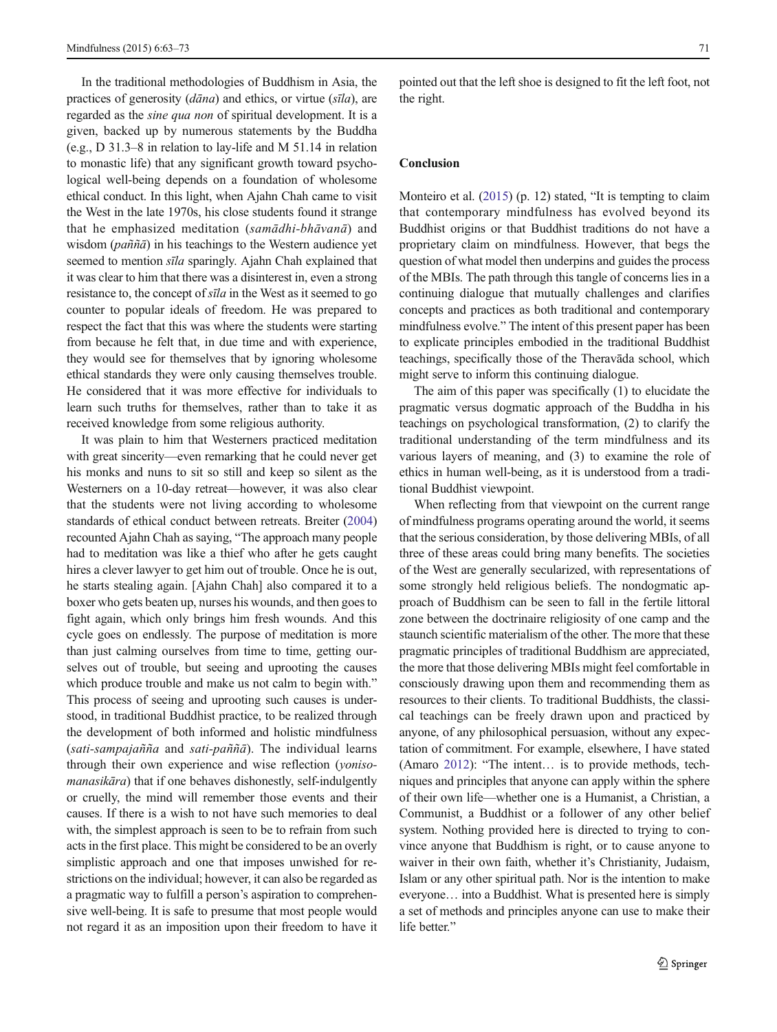In the traditional methodologies of Buddhism in Asia, the practices of generosity  $(dāna)$  and ethics, or virtue  $(sīla)$ , are regarded as the sine qua non of spiritual development. It is a given, backed up by numerous statements by the Buddha (e.g., D 31.3–8 in relation to lay-life and M 51.14 in relation to monastic life) that any significant growth toward psychological well-being depends on a foundation of wholesome ethical conduct. In this light, when Ajahn Chah came to visit the West in the late 1970s, his close students found it strange that he emphasized meditation (samādhi-bhāvanā) and wisdom (paññā) in his teachings to the Western audience yet seemed to mention sīla sparingly. Ajahn Chah explained that it was clear to him that there was a disinterest in, even a strong resistance to, the concept of sīla in the West as it seemed to go counter to popular ideals of freedom. He was prepared to respect the fact that this was where the students were starting from because he felt that, in due time and with experience, they would see for themselves that by ignoring wholesome ethical standards they were only causing themselves trouble. He considered that it was more effective for individuals to learn such truths for themselves, rather than to take it as received knowledge from some religious authority.

It was plain to him that Westerners practiced meditation with great sincerity—even remarking that he could never get his monks and nuns to sit so still and keep so silent as the Westerners on a 10-day retreat—however, it was also clear that the students were not living according to wholesome standards of ethical conduct between retreats. Breiter [\(2004\)](#page-9-0) recounted Ajahn Chah as saying, "The approach many people had to meditation was like a thief who after he gets caught hires a clever lawyer to get him out of trouble. Once he is out, he starts stealing again. [Ajahn Chah] also compared it to a boxer who gets beaten up, nurses his wounds, and then goes to fight again, which only brings him fresh wounds. And this cycle goes on endlessly. The purpose of meditation is more than just calming ourselves from time to time, getting ourselves out of trouble, but seeing and uprooting the causes which produce trouble and make us not calm to begin with." This process of seeing and uprooting such causes is understood, in traditional Buddhist practice, to be realized through the development of both informed and holistic mindfulness  $(sati-sampajañña$  and sati-paññā). The individual learns through their own experience and wise reflection (yonisomanasikāra) that if one behaves dishonestly, self-indulgently or cruelly, the mind will remember those events and their causes. If there is a wish to not have such memories to deal with, the simplest approach is seen to be to refrain from such acts in the first place. This might be considered to be an overly simplistic approach and one that imposes unwished for restrictions on the individual; however, it can also be regarded as a pragmatic way to fulfill a person's aspiration to comprehensive well-being. It is safe to presume that most people would not regard it as an imposition upon their freedom to have it pointed out that the left shoe is designed to fit the left foot, not the right.

## **Conclusion**

Monteiro et al. [\(2015\)](#page-10-0) (p. 12) stated, "It is tempting to claim that contemporary mindfulness has evolved beyond its Buddhist origins or that Buddhist traditions do not have a proprietary claim on mindfulness. However, that begs the question of what model then underpins and guides the process of the MBIs. The path through this tangle of concerns lies in a continuing dialogue that mutually challenges and clarifies concepts and practices as both traditional and contemporary mindfulness evolve." The intent of this present paper has been to explicate principles embodied in the traditional Buddhist teachings, specifically those of the Theravāda school, which might serve to inform this continuing dialogue.

The aim of this paper was specifically (1) to elucidate the pragmatic versus dogmatic approach of the Buddha in his teachings on psychological transformation, (2) to clarify the traditional understanding of the term mindfulness and its various layers of meaning, and (3) to examine the role of ethics in human well-being, as it is understood from a traditional Buddhist viewpoint.

When reflecting from that viewpoint on the current range of mindfulness programs operating around the world, it seems that the serious consideration, by those delivering MBIs, of all three of these areas could bring many benefits. The societies of the West are generally secularized, with representations of some strongly held religious beliefs. The nondogmatic approach of Buddhism can be seen to fall in the fertile littoral zone between the doctrinaire religiosity of one camp and the staunch scientific materialism of the other. The more that these pragmatic principles of traditional Buddhism are appreciated, the more that those delivering MBIs might feel comfortable in consciously drawing upon them and recommending them as resources to their clients. To traditional Buddhists, the classical teachings can be freely drawn upon and practiced by anyone, of any philosophical persuasion, without any expectation of commitment. For example, elsewhere, I have stated (Amaro [2012\)](#page-9-0): "The intent… is to provide methods, techniques and principles that anyone can apply within the sphere of their own life—whether one is a Humanist, a Christian, a Communist, a Buddhist or a follower of any other belief system. Nothing provided here is directed to trying to convince anyone that Buddhism is right, or to cause anyone to waiver in their own faith, whether it's Christianity, Judaism, Islam or any other spiritual path. Nor is the intention to make everyone… into a Buddhist. What is presented here is simply a set of methods and principles anyone can use to make their life better."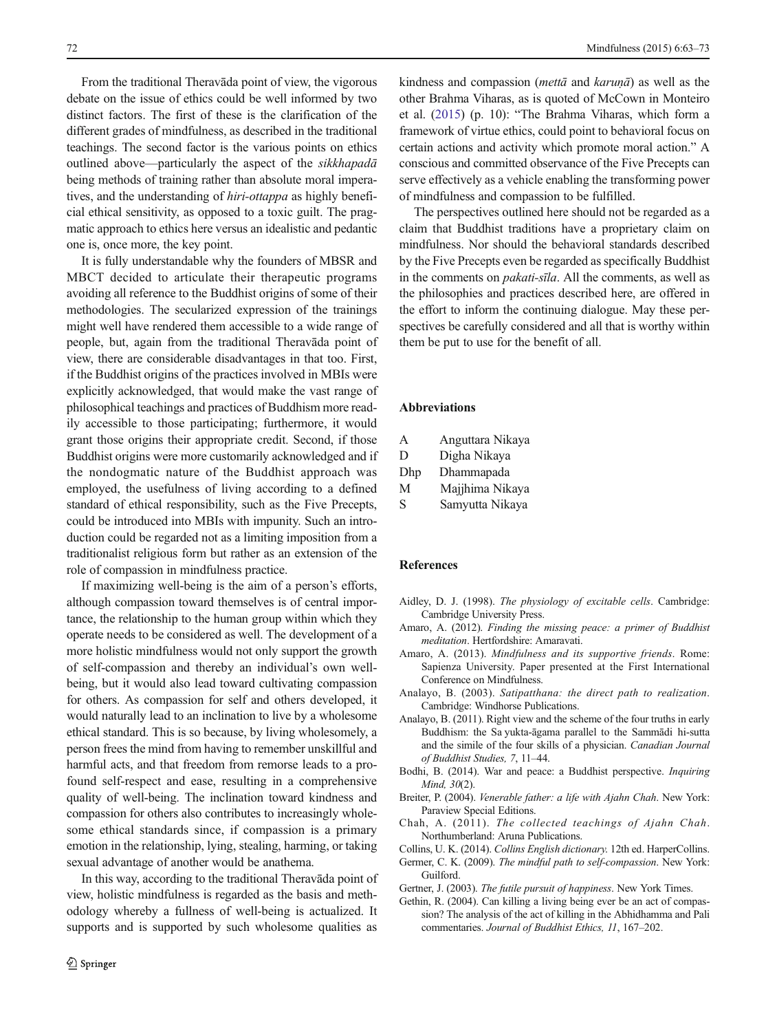<span id="page-9-0"></span>From the traditional Theravāda point of view, the vigorous debate on the issue of ethics could be well informed by two distinct factors. The first of these is the clarification of the different grades of mindfulness, as described in the traditional teachings. The second factor is the various points on ethics outlined above—particularly the aspect of the sikkhapadā being methods of training rather than absolute moral imperatives, and the understanding of hiri-ottappa as highly beneficial ethical sensitivity, as opposed to a toxic guilt. The pragmatic approach to ethics here versus an idealistic and pedantic one is, once more, the key point.

It is fully understandable why the founders of MBSR and MBCT decided to articulate their therapeutic programs avoiding all reference to the Buddhist origins of some of their methodologies. The secularized expression of the trainings might well have rendered them accessible to a wide range of people, but, again from the traditional Theravāda point of view, there are considerable disadvantages in that too. First, if the Buddhist origins of the practices involved in MBIs were explicitly acknowledged, that would make the vast range of philosophical teachings and practices of Buddhism more readily accessible to those participating; furthermore, it would grant those origins their appropriate credit. Second, if those Buddhist origins were more customarily acknowledged and if the nondogmatic nature of the Buddhist approach was employed, the usefulness of living according to a defined standard of ethical responsibility, such as the Five Precepts, could be introduced into MBIs with impunity. Such an introduction could be regarded not as a limiting imposition from a traditionalist religious form but rather as an extension of the role of compassion in mindfulness practice.

If maximizing well-being is the aim of a person's efforts, although compassion toward themselves is of central importance, the relationship to the human group within which they operate needs to be considered as well. The development of a more holistic mindfulness would not only support the growth of self-compassion and thereby an individual's own wellbeing, but it would also lead toward cultivating compassion for others. As compassion for self and others developed, it would naturally lead to an inclination to live by a wholesome ethical standard. This is so because, by living wholesomely, a person frees the mind from having to remember unskillful and harmful acts, and that freedom from remorse leads to a profound self-respect and ease, resulting in a comprehensive quality of well-being. The inclination toward kindness and compassion for others also contributes to increasingly wholesome ethical standards since, if compassion is a primary emotion in the relationship, lying, stealing, harming, or taking sexual advantage of another would be anathema.

In this way, according to the traditional Theravāda point of view, holistic mindfulness is regarded as the basis and methodology whereby a fullness of well-being is actualized. It supports and is supported by such wholesome qualities as

kindness and compassion *(metta* and *karuna*) as well as the other Brahma Viharas, as is quoted of McCown in Monteiro et al. ([2015](#page-10-0)) (p. 10): "The Brahma Viharas, which form a framework of virtue ethics, could point to behavioral focus on certain actions and activity which promote moral action." A conscious and committed observance of the Five Precepts can serve effectively as a vehicle enabling the transforming power of mindfulness and compassion to be fulfilled.

The perspectives outlined here should not be regarded as a claim that Buddhist traditions have a proprietary claim on mindfulness. Nor should the behavioral standards described by the Five Precepts even be regarded as specifically Buddhist in the comments on pakati-sīla. All the comments, as well as the philosophies and practices described here, are offered in the effort to inform the continuing dialogue. May these perspectives be carefully considered and all that is worthy within them be put to use for the benefit of all.

# Abbreviations

| A   | Anguttara Nikaya |
|-----|------------------|
| D   | Digha Nikaya     |
| Dhp | Dhammapada       |
| М   | Majjhima Nikaya  |
| S   | Samyutta Nikaya  |

#### **References**

- Aidley, D. J. (1998). The physiology of excitable cells. Cambridge: Cambridge University Press.
- Amaro, A. (2012). Finding the missing peace: a primer of Buddhist meditation. Hertfordshire: Amaravati.
- Amaro, A. (2013). Mindfulness and its supportive friends. Rome: Sapienza University. Paper presented at the First International Conference on Mindfulness.
- Analayo, B. (2003). Satipatthana: the direct path to realization. Cambridge: Windhorse Publications.
- Analayo, B. (2011). Right view and the scheme of the four truths in early Buddhism: the Sa yukta-āgama parallel to the Sammādi hi-sutta and the simile of the four skills of a physician. Canadian Journal of Buddhist Studies, 7, 11–44.
- Bodhi, B. (2014). War and peace: a Buddhist perspective. Inquiring Mind, 30(2).
- Breiter, P. (2004). Venerable father: a life with Ajahn Chah. New York: Paraview Special Editions.
- Chah, A. (2011). The collected teachings of Ajahn Chah. Northumberland: Aruna Publications.
- Collins, U. K. (2014). Collins English dictionary. 12th ed. HarperCollins.
- Germer, C. K. (2009). The mindful path to self-compassion. New York: Guilford.
- Gertner, J. (2003). The futile pursuit of happiness. New York Times.
- Gethin, R. (2004). Can killing a living being ever be an act of compassion? The analysis of the act of killing in the Abhidhamma and Pali commentaries. Journal of Buddhist Ethics, 11, 167–202.